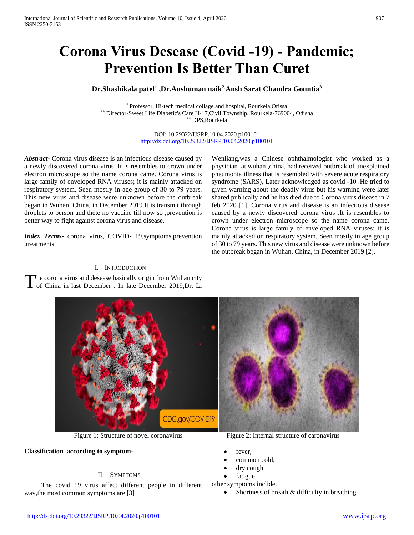# **Corona Virus Desease (Covid -19) - Pandemic; Prevention Is Better Than Curet**

# **Dr.Shashikala patel<sup>1</sup> ,Dr.Anshuman naik2,Ansh Sarat Chandra Gountia<sup>3</sup>**

\* Professor, Hi-tech medical collage and hospital, Rourkela,Orissa \*\* Director-Sweet Life Diabetic's Care H-17,Civil Township, Rourkela-769004, Odisha \*\* DPS,Rourkela

> DOI: 10.29322/IJSRP.10.04.2020.p100101 <http://dx.doi.org/10.29322/IJSRP.10.04.2020.p100101>

*Abstract***-** Corona virus disease is an infectious disease caused by a newly discovered corona virus .It is resembles to crown under electron microscope so the name corona came. Corona virus is large family of enveloped RNA viruses; it is mainly attacked on respiratory system, Seen mostly in age group of 30 to 79 years. This new virus and disease were unknown before the outbreak began in Wuhan, China, in December 2019.It is transmit through droplets to person and thete no vaccine till now so ,prevention is better way to fight against corona virus and disease.

*Index Terms*- corona virus, COVID- 19,symptoms,prevention ,treatments

### I. INTRODUCTION

he corona virus and desease basically origin from Wuhan city The corona virus and desease basically origin from Wuhan city<br>of China in last December . In late December 2019,Dr. Li



#### **Classification according to symptom-**

# II. SYMPTOMS

 The covid 19 virus affect different people in different way,the most common symptoms are [3]

Figure 1: Structure of novel coronavirus Figure 2: Internal structure of caronavirus

Wenliang,was a Chinese ophthalmologist who worked as a physician at wuhan ,china, had received outbreak of unexplained pneumonia illness that is resembled with severe acute respiratory syndrome (SARS), Later acknowledged as covid -10 .He tried to given warning about the deadly virus but his warning were later shared publically and he has died due to Corona virus disease in 7 feb 2020 [1]. Corona virus and disease is an infectious disease caused by a newly discovered corona virus .It is resembles to crown under electron microscope so the name corona came. Corona virus is large family of enveloped RNA viruses; it is mainly attacked on respiratory system, Seen mostly in age group of 30 to 79 years. This new virus and disease were unknown before the outbreak began in Wuhan, China, in December 2019 [2].

- fever,
- common cold,
- dry cough,
- fatigue,

other symptoms inclide.

Shortness of breath & difficulty in breathing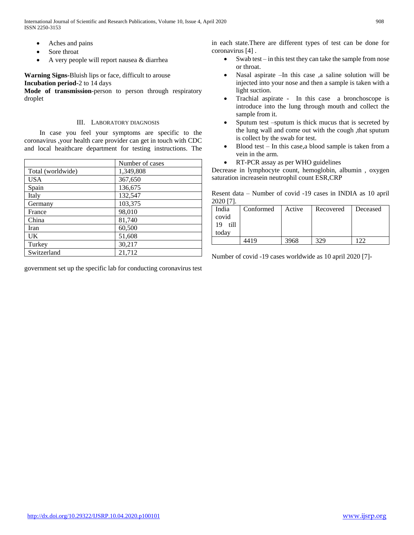- Aches and pains
- Sore throat
- A very people will report nausea & diarrhea

**Warning Signs-**Bluish lips or face, difficult to arouse **Incubation period-**2 to 14 days

**Mode of transmission**-person to person through respiratory droplet

# III. LABORATORY DIAGNOSIS

 In case you feel your symptoms are specific to the coronavirus ,your health care provider can get in touch with CDC and local heaithcare department for testing instructions. The

|                   | Number of cases |  |
|-------------------|-----------------|--|
| Total (worldwide) | 1,349,808       |  |
| <b>USA</b>        | 367,650         |  |
| Spain             | 136,675         |  |
| Italy             | 132,547         |  |
| Germany           | 103,375         |  |
| France            | 98,010          |  |
| China             | 81,740          |  |
| Iran              | 60,500          |  |
| <b>UK</b>         | 51,608          |  |
| Turkey            | 30,217          |  |
| Switzerland       | 21,712          |  |

government set up the specific lab for conducting coronavirus test

in each state.There are different types of test can be done for coronavirus [4] .

- Swab test in this test they can take the sample from nose or throat.
- Nasal aspirate –In this case ,a saline solution will be injected into your nose and then a sample is taken with a light suction.
- Trachial aspirate In this case a bronchoscope is introduce into the lung through mouth and collect the sample from it.
- Sputum test –sputum is thick mucus that is secreted by the lung wall and come out with the cough ,that sputum is collect by the swab for test.
- Blood test In this case,a blood sample is taken from a vein in the arm.
- RT-PCR assay as per WHO guidelines

Decrease in lymphocyte count, hemoglobin, albumin , oxygen saturation increasein neutrophil count ESR,CRP

Resent data – Number of covid -19 cases in INDIA as 10 april 2020 [7].

| ------              |           |        |           |            |
|---------------------|-----------|--------|-----------|------------|
| India<br>covid      | Conformed | Active | Recovered | Deceased   |
| 19<br>till<br>todav |           |        |           |            |
|                     | 4419      | 3968   | 329       | $\cdot$ 22 |

Number of covid -19 cases worldwide as 10 april 2020 [7]-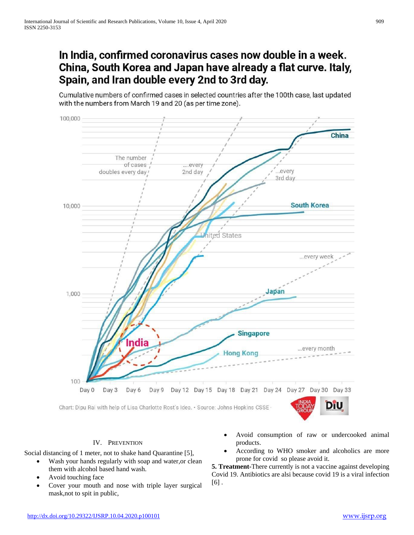# In India, confirmed coronavirus cases now double in a week. China, South Korea and Japan have already a flat curve. Italy, Spain, and Iran double every 2nd to 3rd day.

Cumulative numbers of confirmed cases in selected countries after the 100th case, last updated with the numbers from March 19 and 20 (as per time zone).



# IV. PREVENTION

Social distancing of 1 meter, not to shake hand Quarantine [5],

- Wash your hands regularly with soap and water,or clean them with alcohol based hand wash.
- Avoid touching face
- Cover your mouth and nose with triple layer surgical mask,not to spit in public,
- Avoid consumption of raw or undercooked animal products.
- According to WHO smoker and alcoholics are more prone for covid so please avoid it.

**5. Treatment-**There currently is not a vaccine against developing Covid 19. Antibiotics are alsi because covid 19 is a viral infection  $[6]$ .